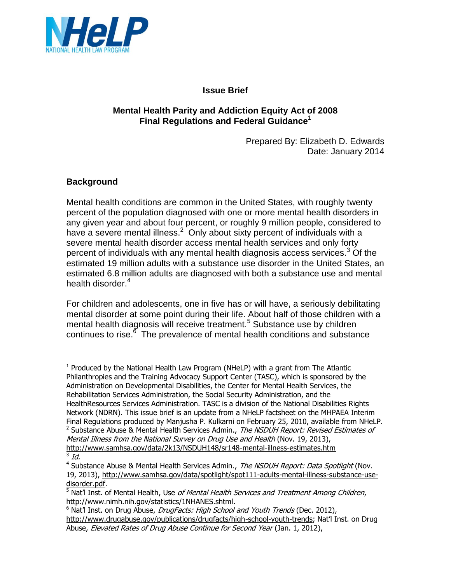

## **Issue Brief**

## **Mental Health Parity and Addiction Equity Act of 2008 Final Regulations and Federal Guidance**<sup>1</sup>

Prepared By: Elizabeth D. Edwards Date: January 2014

## **Background**

L,

Mental health conditions are common in the United States, with roughly twenty percent of the population diagnosed with one or more mental health disorders in any given year and about four percent, or roughly 9 million people, considered to have a severe mental illness.<sup>2</sup> Only about sixty percent of individuals with a severe mental health disorder access mental health services and only forty percent of individuals with any mental health diagnosis access services.<sup>3</sup> Of the estimated 19 million adults with a substance use disorder in the United States, an estimated 6.8 million adults are diagnosed with both a substance use and mental health disorder.<sup>4</sup>

For children and adolescents, one in five has or will have, a seriously debilitating mental disorder at some point during their life. About half of those children with a mental health diagnosis will receive treatment.<sup>5</sup> Substance use by children continues to rise.<sup>6</sup> The prevalence of mental health conditions and substance

 $<sup>1</sup>$  Produced by the National Health Law Program (NHeLP) with a grant from The Atlantic</sup> Philanthropies and the Training Advocacy Support Center (TASC), which is sponsored by the Administration on Developmental Disabilities, the Center for Mental Health Services, the Rehabilitation Services Administration, the Social Security Administration, and the HealthResources Services Administration. TASC is a division of the National Disabilities Rights Network (NDRN). This issue brief is an update from a NHeLP factsheet on the MHPAEA Interim Final Regulations produced by Manjusha P. Kulkarni on February 25, 2010, available from NHeLP. <sup>2</sup> Substance Abuse & Mental Health Services Admin., The NSDUH Report: Revised Estimates of Mental Illness from the National Survey on Drug Use and Health (Nov. 19, 2013),

<http://www.samhsa.gov/data/2k13/NSDUH148/sr148-mental-illness-estimates.htm>  $3$   $Id.$ 

<sup>&</sup>lt;sup>4</sup> Substance Abuse & Mental Health Services Admin., The NSDUH Report: Data Spotlight (Nov. 19, 2013), [http://www.samhsa.gov/data/spotlight/spot111-adults-mental-illness-substance-use](http://www.samhsa.gov/data/spotlight/spot111-adults-mental-illness-substance-use-disorder.pdf)[disorder.pdf.](http://www.samhsa.gov/data/spotlight/spot111-adults-mental-illness-substance-use-disorder.pdf)

<sup>&</sup>lt;sup>5</sup> Nat'l Inst. of Mental Health, Use *of Mental Health Services and Treatment Among Children*, [http://www.nimh.nih.gov/statistics/1NHANES.shtml.](http://www.nimh.nih.gov/statistics/1NHANES.shtml)

 $6$  Nat'l Inst. on Drug Abuse, *DrugFacts: High School and Youth Trends* (Dec. 2012), [http://www.drugabuse.gov/publications/drugfacts/high-school-youth-trends;](http://www.drugabuse.gov/publications/drugfacts/high-school-youth-trends) Nat'l Inst. on Drug Abuse, Elevated Rates of Drug Abuse Continue for Second Year (Jan. 1, 2012),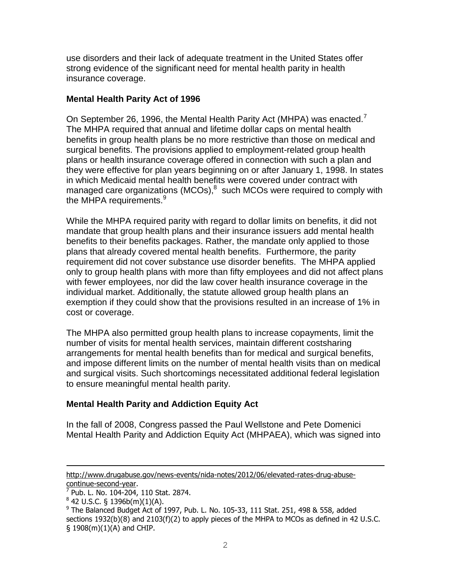use disorders and their lack of adequate treatment in the United States offer strong evidence of the significant need for mental health parity in health insurance coverage.

## **Mental Health Parity Act of 1996**

On September 26, 1996, the Mental Health Parity Act (MHPA) was enacted.<sup>7</sup> The MHPA required that annual and lifetime dollar caps on mental health benefits in group health plans be no more restrictive than those on medical and surgical benefits. The provisions applied to employment-related group health plans or health insurance coverage offered in connection with such a plan and they were effective for plan years beginning on or after January 1, 1998. In states in which Medicaid mental health benefits were covered under contract with managed care organizations (MCOs), $^{8}$  such MCOs were required to comply with the MHPA requirements.<sup>9</sup>

While the MHPA required parity with regard to dollar limits on benefits, it did not mandate that group health plans and their insurance issuers add mental health benefits to their benefits packages. Rather, the mandate only applied to those plans that already covered mental health benefits. Furthermore, the parity requirement did not cover substance use disorder benefits. The MHPA applied only to group health plans with more than fifty employees and did not affect plans with fewer employees, nor did the law cover health insurance coverage in the individual market. Additionally, the statute allowed group health plans an exemption if they could show that the provisions resulted in an increase of 1% in cost or coverage.

The MHPA also permitted group health plans to increase copayments, limit the number of visits for mental health services, maintain different costsharing arrangements for mental health benefits than for medical and surgical benefits, and impose different limits on the number of mental health visits than on medical and surgical visits. Such shortcomings necessitated additional federal legislation to ensure meaningful mental health parity.

# **Mental Health Parity and Addiction Equity Act**

In the fall of 2008, Congress passed the Paul Wellstone and Pete Domenici Mental Health Parity and Addiction Equity Act (MHPAEA), which was signed into

[http://www.drugabuse.gov/news-events/nida-notes/2012/06/elevated-rates-drug-abuse](http://www.drugabuse.gov/news-events/nida-notes/2012/06/elevated-rates-drug-abuse-continue-second-year)[continue-second-year.](http://www.drugabuse.gov/news-events/nida-notes/2012/06/elevated-rates-drug-abuse-continue-second-year)

<sup>7</sup> Pub. L. No. 104-204, 110 Stat. 2874.

 $8$  42 U.S.C. § 1396b(m)(1)(A).

 $9$  The Balanced Budget Act of 1997, Pub. L. No. 105-33, 111 Stat. 251, 498 & 558, added sections 1932(b)(8) and 2103(f)(2) to apply pieces of the MHPA to MCOs as defined in 42 U.S.C. § 1908(m)(1)(A) and CHIP.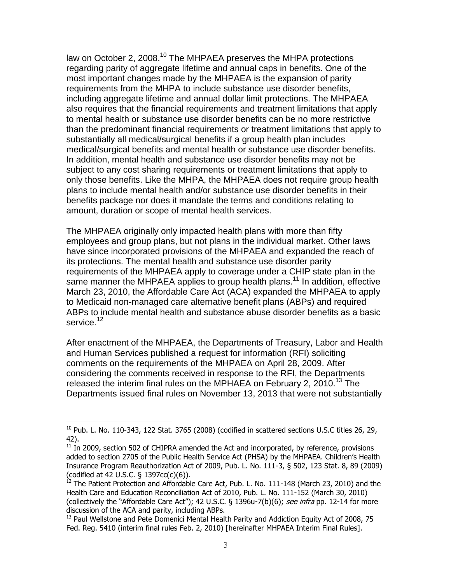law on October 2, 2008.<sup>10</sup> The MHPAEA preserves the MHPA protections regarding parity of aggregate lifetime and annual caps in benefits. One of the most important changes made by the MHPAEA is the expansion of parity requirements from the MHPA to include substance use disorder benefits, including aggregate lifetime and annual dollar limit protections. The MHPAEA also requires that the financial requirements and treatment limitations that apply to mental health or substance use disorder benefits can be no more restrictive than the predominant financial requirements or treatment limitations that apply to substantially all medical/surgical benefits if a group health plan includes medical/surgical benefits and mental health or substance use disorder benefits. In addition, mental health and substance use disorder benefits may not be subject to any cost sharing requirements or treatment limitations that apply to only those benefits. Like the MHPA, the MHPAEA does not require group health plans to include mental health and/or substance use disorder benefits in their benefits package nor does it mandate the terms and conditions relating to amount, duration or scope of mental health services.

The MHPAEA originally only impacted health plans with more than fifty employees and group plans, but not plans in the individual market. Other laws have since incorporated provisions of the MHPAEA and expanded the reach of its protections. The mental health and substance use disorder parity requirements of the MHPAEA apply to coverage under a CHIP state plan in the same manner the MHPAEA applies to group health plans.<sup>11</sup> In addition, effective March 23, 2010, the Affordable Care Act (ACA) expanded the MHPAEA to apply to Medicaid non-managed care alternative benefit plans (ABPs) and required ABPs to include mental health and substance abuse disorder benefits as a basic service.<sup>12</sup>

After enactment of the MHPAEA, the Departments of Treasury, Labor and Health and Human Services published a request for information (RFI) soliciting comments on the requirements of the MHPAEA on April 28, 2009. After considering the comments received in response to the RFI, the Departments released the interim final rules on the MPHAEA on February 2, 2010.<sup>13</sup> The Departments issued final rules on November 13, 2013 that were not substantially

 $10$  Pub. L. No. 110-343, 122 Stat. 3765 (2008) (codified in scattered sections U.S.C titles 26, 29, 42).

 $11$  In 2009, section 502 of CHIPRA amended the Act and incorporated, by reference, provisions added to section 2705 of the Public Health Service Act (PHSA) by the MHPAEA. Children's Health Insurance Program Reauthorization Act of 2009, Pub. L. No. 111-3, § 502, 123 Stat. 8, 89 (2009) (codified at 42 U.S.C. § 1397cc(c)(6)).

 $^{12}$  The Patient Protection and Affordable Care Act, Pub. L. No. 111-148 (March 23, 2010) and the Health Care and Education Reconciliation Act of 2010, Pub. L. No. 111-152 (March 30, 2010) (collectively the "Affordable Care Act"); 42 U.S.C.  $\S$  1396u-7(b)(6); see infra pp. 12-14 for more discussion of the ACA and parity, including ABPs.

 $13$  Paul Wellstone and Pete Domenici Mental Health Parity and Addiction Equity Act of 2008, 75 Fed. Reg. 5410 (interim final rules Feb. 2, 2010) [hereinafter MHPAEA Interim Final Rules].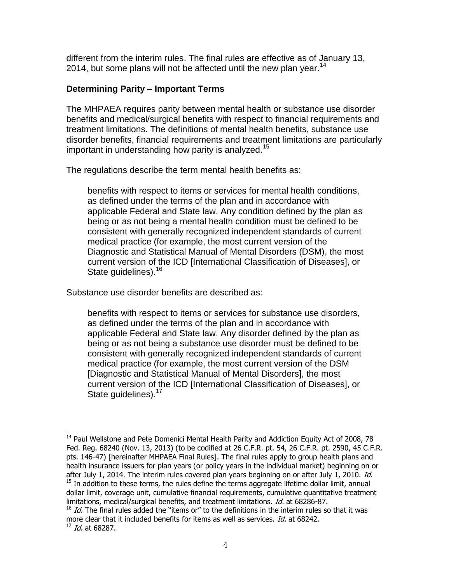different from the interim rules. The final rules are effective as of January 13, 2014, but some plans will not be affected until the new plan year.<sup>14</sup>

### **Determining Parity – Important Terms**

The MHPAEA requires parity between mental health or substance use disorder benefits and medical/surgical benefits with respect to financial requirements and treatment limitations. The definitions of mental health benefits, substance use disorder benefits, financial requirements and treatment limitations are particularly important in understanding how parity is analyzed.<sup>15</sup>

The regulations describe the term mental health benefits as:

benefits with respect to items or services for mental health conditions, as defined under the terms of the plan and in accordance with applicable Federal and State law. Any condition defined by the plan as being or as not being a mental health condition must be defined to be consistent with generally recognized independent standards of current medical practice (for example, the most current version of the Diagnostic and Statistical Manual of Mental Disorders (DSM), the most current version of the ICD [International Classification of Diseases], or State guidelines).<sup>16</sup>

Substance use disorder benefits are described as:

÷.

benefits with respect to items or services for substance use disorders, as defined under the terms of the plan and in accordance with applicable Federal and State law. Any disorder defined by the plan as being or as not being a substance use disorder must be defined to be consistent with generally recognized independent standards of current medical practice (for example, the most current version of the DSM [Diagnostic and Statistical Manual of Mental Disorders], the most current version of the ICD [International Classification of Diseases], or State quidelines).<sup>17</sup>

 $14$  Paul Wellstone and Pete Domenici Mental Health Parity and Addiction Equity Act of 2008, 78 Fed. Reg. 68240 (Nov. 13, 2013) (to be codified at 26 C.F.R. pt. 54, 26 C.F.R. pt. 2590, 45 C.F.R. pts. 146-47) [hereinafter MHPAEA Final Rules]. The final rules apply to group health plans and health insurance issuers for plan years (or policy years in the individual market) beginning on or after July 1, 2014. The interim rules covered plan years beginning on or after July 1, 2010. Id.  $15$  In addition to these terms, the rules define the terms aggregate lifetime dollar limit, annual dollar limit, coverage unit, cumulative financial requirements, cumulative quantitative treatment limitations, medical/surgical benefits, and treatment limitations. Id. at 68286-87.

 $16$  Id. The final rules added the "items or" to the definitions in the interim rules so that it was more clear that it included benefits for items as well as services. Id. at 68242.  $17$  *Id.* at 68287.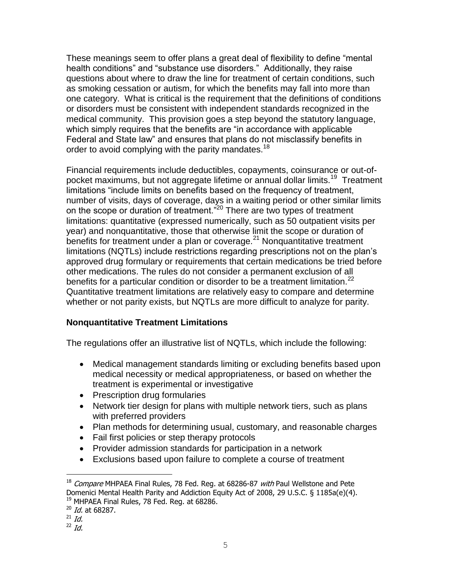These meanings seem to offer plans a great deal of flexibility to define "mental health conditions" and "substance use disorders." Additionally, they raise questions about where to draw the line for treatment of certain conditions, such as smoking cessation or autism, for which the benefits may fall into more than one category. What is critical is the requirement that the definitions of conditions or disorders must be consistent with independent standards recognized in the medical community. This provision goes a step beyond the statutory language, which simply requires that the benefits are "in accordance with applicable Federal and State law" and ensures that plans do not misclassify benefits in order to avoid complying with the parity mandates.<sup>18</sup>

Financial requirements include deductibles, copayments, coinsurance or out-ofpocket maximums, but not aggregate lifetime or annual dollar limits.<sup>19</sup> Treatment limitations "include limits on benefits based on the frequency of treatment, number of visits, days of coverage, days in a waiting period or other similar limits on the scope or duration of treatment.<sup>"20</sup> There are two types of treatment limitations: quantitative (expressed numerically, such as 50 outpatient visits per year) and nonquantitative, those that otherwise limit the scope or duration of benefits for treatment under a plan or coverage.<sup>21</sup> Nonquantitative treatment limitations (NQTLs) include restrictions regarding prescriptions not on the plan's approved drug formulary or requirements that certain medications be tried before other medications. The rules do not consider a permanent exclusion of all benefits for a particular condition or disorder to be a treatment limitation.<sup>22</sup> Quantitative treatment limitations are relatively easy to compare and determine whether or not parity exists, but NQTLs are more difficult to analyze for parity.

## **Nonquantitative Treatment Limitations**

The regulations offer an illustrative list of NQTLs, which include the following:

- Medical management standards limiting or excluding benefits based upon medical necessity or medical appropriateness, or based on whether the treatment is experimental or investigative
- Prescription drug formularies
- Network tier design for plans with multiple network tiers, such as plans with preferred providers
- Plan methods for determining usual, customary, and reasonable charges
- Fail first policies or step therapy protocols
- Provider admission standards for participation in a network
- Exclusions based upon failure to complete a course of treatment

 $18$  Compare MHPAEA Final Rules, 78 Fed. Reg. at 68286-87 with Paul Wellstone and Pete Domenici Mental Health Parity and Addiction Equity Act of 2008, 29 U.S.C. § 1185a(e)(4). <sup>19</sup> MHPAEA Final Rules, 78 Fed. Reg. at 68286.

<sup>&</sup>lt;sup>20</sup> Id. at 68287.

 $^{21}$  Id.

 $22$  *Id.*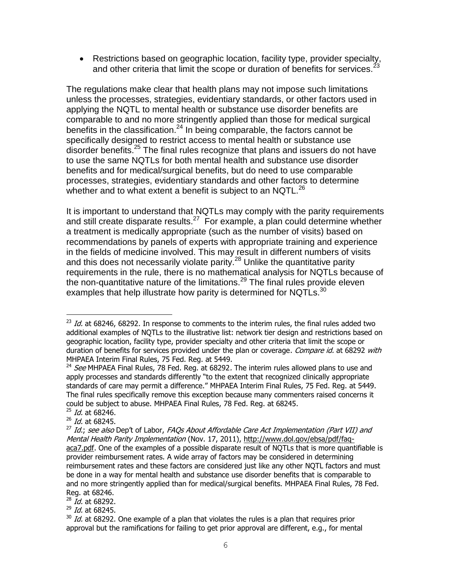Restrictions based on geographic location, facility type, provider specialty, and other criteria that limit the scope or duration of benefits for services.<sup>23</sup>

The regulations make clear that health plans may not impose such limitations unless the processes, strategies, evidentiary standards, or other factors used in applying the NQTL to mental health or substance use disorder benefits are comparable to and no more stringently applied than those for medical surgical benefits in the classification.<sup>24</sup> In being comparable, the factors cannot be specifically designed to restrict access to mental health or substance use disorder benefits.<sup>25</sup> The final rules recognize that plans and issuers do not have to use the same NQTLs for both mental health and substance use disorder benefits and for medical/surgical benefits, but do need to use comparable processes, strategies, evidentiary standards and other factors to determine whether and to what extent a benefit is subject to an NQTL. $^{26}$ 

It is important to understand that NQTLs may comply with the parity requirements and still create disparate results. $27$  For example, a plan could determine whether a treatment is medically appropriate (such as the number of visits) based on recommendations by panels of experts with appropriate training and experience in the fields of medicine involved. This may result in different numbers of visits and this does not necessarily violate parity.<sup>28</sup> Unlike the quantitative parity requirements in the rule, there is no mathematical analysis for NQTLs because of the non-quantitative nature of the limitations.<sup>29</sup> The final rules provide eleven examples that help illustrate how parity is determined for NQTLs. $^{30}$ 

÷.

 $^{28}$  Id. at 68292.

 $^{29}$  Id. at 68245.

 $^{23}$  Id. at 68246, 68292. In response to comments to the interim rules, the final rules added two additional examples of NQTLs to the illustrative list: network tier design and restrictions based on geographic location, facility type, provider specialty and other criteria that limit the scope or duration of benefits for services provided under the plan or coverage. Compare id. at 68292 with MHPAEA Interim Final Rules, 75 Fed. Reg. at 5449.

<sup>&</sup>lt;sup>24</sup> See MHPAEA Final Rules, 78 Fed. Reg. at 68292. The interim rules allowed plans to use and apply processes and standards differently "to the extent that recognized clinically appropriate standards of care may permit a difference." MHPAEA Interim Final Rules, 75 Fed. Reg. at 5449. The final rules specifically remove this exception because many commenters raised concerns it could be subject to abuse. MHPAEA Final Rules, 78 Fed. Reg. at 68245.

 $25$  *Id.* at 68246.

 $^{26}$  Id. at 68245.

 $^{27}$  Id.; see also Dep't of Labor, FAQs About Affordable Care Act Implementation (Part VII) and Mental Health Parity Implementation (Nov. 17, 2011), [http://www.dol.gov/ebsa/pdf/faq](http://www.dol.gov/ebsa/pdf/faq-aca7.pdf)[aca7.pdf.](http://www.dol.gov/ebsa/pdf/faq-aca7.pdf) One of the examples of a possible disparate result of NQTLs that is more quantifiable is provider reimbursement rates. A wide array of factors may be considered in determining reimbursement rates and these factors are considered just like any other NQTL factors and must be done in a way for mental health and substance use disorder benefits that is comparable to and no more stringently applied than for medical/surgical benefits. MHPAEA Final Rules, 78 Fed. Reg. at 68246.

 $30$  Id. at 68292. One example of a plan that violates the rules is a plan that requires prior approval but the ramifications for failing to get prior approval are different, e.g., for mental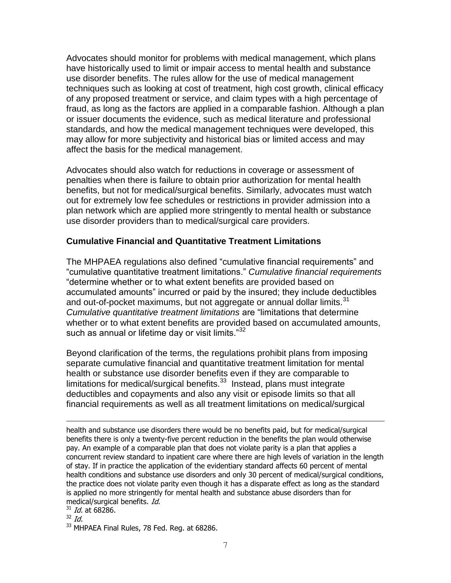Advocates should monitor for problems with medical management, which plans have historically used to limit or impair access to mental health and substance use disorder benefits. The rules allow for the use of medical management techniques such as looking at cost of treatment, high cost growth, clinical efficacy of any proposed treatment or service, and claim types with a high percentage of fraud, as long as the factors are applied in a comparable fashion. Although a plan or issuer documents the evidence, such as medical literature and professional standards, and how the medical management techniques were developed, this may allow for more subjectivity and historical bias or limited access and may affect the basis for the medical management.

Advocates should also watch for reductions in coverage or assessment of penalties when there is failure to obtain prior authorization for mental health benefits, but not for medical/surgical benefits. Similarly, advocates must watch out for extremely low fee schedules or restrictions in provider admission into a plan network which are applied more stringently to mental health or substance use disorder providers than to medical/surgical care providers.

## **Cumulative Financial and Quantitative Treatment Limitations**

The MHPAEA regulations also defined "cumulative financial requirements" and "cumulative quantitative treatment limitations." *Cumulative financial requirements* "determine whether or to what extent benefits are provided based on accumulated amounts" incurred or paid by the insured; they include deductibles and out-of-pocket maximums, but not aggregate or annual dollar limits.<sup>31</sup> *Cumulative quantitative treatment limitations* are "limitations that determine whether or to what extent benefits are provided based on accumulated amounts, such as annual or lifetime day or visit limits."<sup>32</sup>

Beyond clarification of the terms, the regulations prohibit plans from imposing separate cumulative financial and quantitative treatment limitation for mental health or substance use disorder benefits even if they are comparable to limitations for medical/surgical benefits.<sup>33</sup> Instead, plans must integrate deductibles and copayments and also any visit or episode limits so that all financial requirements as well as all treatment limitations on medical/surgical

÷. health and substance use disorders there would be no benefits paid, but for medical/surgical benefits there is only a twenty-five percent reduction in the benefits the plan would otherwise pay. An example of a comparable plan that does not violate parity is a plan that applies a concurrent review standard to inpatient care where there are high levels of variation in the length of stay. If in practice the application of the evidentiary standard affects 60 percent of mental health conditions and substance use disorders and only 30 percent of medical/surgical conditions, the practice does not violate parity even though it has a disparate effect as long as the standard is applied no more stringently for mental health and substance abuse disorders than for medical/surgical benefits. Id.

 $31$  *Id.* at 68286.

 $32$  *Id.* 

<sup>&</sup>lt;sup>33</sup> MHPAEA Final Rules, 78 Fed. Reg. at 68286.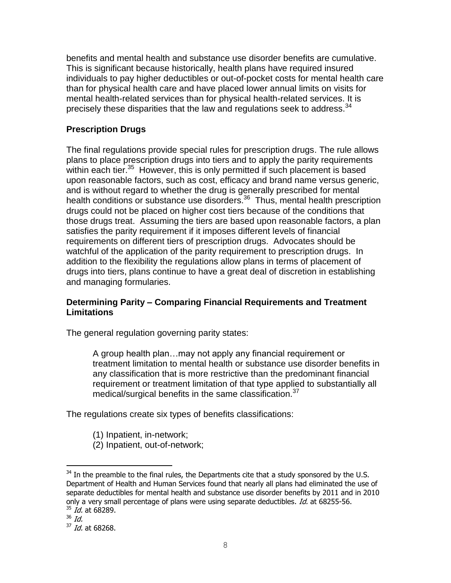benefits and mental health and substance use disorder benefits are cumulative. This is significant because historically, health plans have required insured individuals to pay higher deductibles or out-of-pocket costs for mental health care than for physical health care and have placed lower annual limits on visits for mental health-related services than for physical health-related services. It is precisely these disparities that the law and regulations seek to address.  $34$ 

## **Prescription Drugs**

The final regulations provide special rules for prescription drugs. The rule allows plans to place prescription drugs into tiers and to apply the parity requirements within each tier. $35$  However, this is only permitted if such placement is based upon reasonable factors, such as cost, efficacy and brand name versus generic, and is without regard to whether the drug is generally prescribed for mental health conditions or substance use disorders.<sup>36</sup> Thus, mental health prescription drugs could not be placed on higher cost tiers because of the conditions that those drugs treat. Assuming the tiers are based upon reasonable factors, a plan satisfies the parity requirement if it imposes different levels of financial requirements on different tiers of prescription drugs. Advocates should be watchful of the application of the parity requirement to prescription drugs. In addition to the flexibility the regulations allow plans in terms of placement of drugs into tiers, plans continue to have a great deal of discretion in establishing and managing formularies.

## **Determining Parity – Comparing Financial Requirements and Treatment Limitations**

The general regulation governing parity states:

A group health plan…may not apply any financial requirement or treatment limitation to mental health or substance use disorder benefits in any classification that is more restrictive than the predominant financial requirement or treatment limitation of that type applied to substantially all medical/surgical benefits in the same classification.<sup>37</sup>

The regulations create six types of benefits classifications:

- (1) Inpatient, in-network;
- (2) Inpatient, out-of-network;

 $34$  In the preamble to the final rules, the Departments cite that a study sponsored by the U.S. Department of Health and Human Services found that nearly all plans had eliminated the use of separate deductibles for mental health and substance use disorder benefits by 2011 and in 2010 only a very small percentage of plans were using separate deductibles. Id. at 68255-56.  $35$  *Id.* at 68289.

<sup>36</sup> Id.

<sup>&</sup>lt;sup>37</sup> Id. at 68268.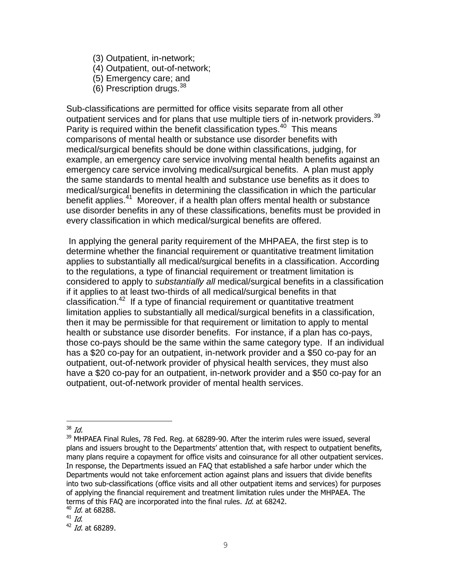- (3) Outpatient, in-network;
- (4) Outpatient, out-of-network;
- (5) Emergency care; and
- $(6)$  Prescription drugs.  $38$

Sub-classifications are permitted for office visits separate from all other outpatient services and for plans that use multiple tiers of in-network providers.  $39$ Parity is required within the benefit classification types.<sup>40</sup> This means comparisons of mental health or substance use disorder benefits with medical/surgical benefits should be done within classifications, judging, for example, an emergency care service involving mental health benefits against an emergency care service involving medical/surgical benefits. A plan must apply the same standards to mental health and substance use benefits as it does to medical/surgical benefits in determining the classification in which the particular benefit applies.<sup>41</sup> Moreover, if a health plan offers mental health or substance use disorder benefits in any of these classifications, benefits must be provided in every classification in which medical/surgical benefits are offered.

In applying the general parity requirement of the MHPAEA, the first step is to determine whether the financial requirement or quantitative treatment limitation applies to substantially all medical/surgical benefits in a classification. According to the regulations, a type of financial requirement or treatment limitation is considered to apply to *substantially all* medical/surgical benefits in a classification if it applies to at least two-thirds of all medical/surgical benefits in that classification.<sup>42</sup> If a type of financial requirement or quantitative treatment limitation applies to substantially all medical/surgical benefits in a classification, then it may be permissible for that requirement or limitation to apply to mental health or substance use disorder benefits. For instance, if a plan has co-pays, those co-pays should be the same within the same category type. If an individual has a \$20 co-pay for an outpatient, in-network provider and a \$50 co-pay for an outpatient, out-of-network provider of physical health services, they must also have a \$20 co-pay for an outpatient, in-network provider and a \$50 co-pay for an outpatient, out-of-network provider of mental health services.

<sup>÷.</sup>  $38$  Id.

 $39$  MHPAEA Final Rules, 78 Fed. Reg. at 68289-90. After the interim rules were issued, several plans and issuers brought to the Departments' attention that, with respect to outpatient benefits, many plans require a copayment for office visits and coinsurance for all other outpatient services. In response, the Departments issued an FAQ that established a safe harbor under which the Departments would not take enforcement action against plans and issuers that divide benefits into two sub-classifications (office visits and all other outpatient items and services) for purposes of applying the financial requirement and treatment limitation rules under the MHPAEA. The terms of this FAQ are incorporated into the final rules. Id. at 68242.

<sup>&</sup>lt;sup>40</sup> Id. at 68288.

<sup>&</sup>lt;sup>41</sup> Id.

<sup>&</sup>lt;sup>42</sup> Id. at 68289.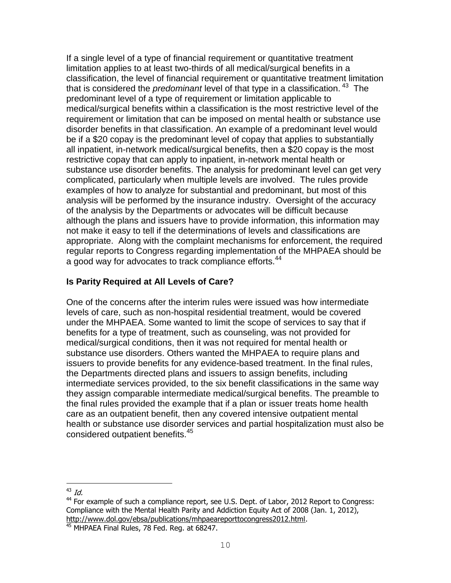If a single level of a type of financial requirement or quantitative treatment limitation applies to at least two-thirds of all medical/surgical benefits in a classification, the level of financial requirement or quantitative treatment limitation that is considered the *predominant* level of that type in a classification. <sup>43</sup> The predominant level of a type of requirement or limitation applicable to medical/surgical benefits within a classification is the most restrictive level of the requirement or limitation that can be imposed on mental health or substance use disorder benefits in that classification. An example of a predominant level would be if a \$20 copay is the predominant level of copay that applies to substantially all inpatient, in-network medical/surgical benefits, then a \$20 copay is the most restrictive copay that can apply to inpatient, in-network mental health or substance use disorder benefits. The analysis for predominant level can get very complicated, particularly when multiple levels are involved. The rules provide examples of how to analyze for substantial and predominant, but most of this analysis will be performed by the insurance industry. Oversight of the accuracy of the analysis by the Departments or advocates will be difficult because although the plans and issuers have to provide information, this information may not make it easy to tell if the determinations of levels and classifications are appropriate. Along with the complaint mechanisms for enforcement, the required regular reports to Congress regarding implementation of the MHPAEA should be a good way for advocates to track compliance efforts.<sup>44</sup>

## **Is Parity Required at All Levels of Care?**

One of the concerns after the interim rules were issued was how intermediate levels of care, such as non-hospital residential treatment, would be covered under the MHPAEA. Some wanted to limit the scope of services to say that if benefits for a type of treatment, such as counseling, was not provided for medical/surgical conditions, then it was not required for mental health or substance use disorders. Others wanted the MHPAEA to require plans and issuers to provide benefits for any evidence-based treatment. In the final rules, the Departments directed plans and issuers to assign benefits, including intermediate services provided, to the six benefit classifications in the same way they assign comparable intermediate medical/surgical benefits. The preamble to the final rules provided the example that if a plan or issuer treats home health care as an outpatient benefit, then any covered intensive outpatient mental health or substance use disorder services and partial hospitalization must also be considered outpatient benefits.<sup>45</sup>

 $43$  Id.

 $44$  For example of such a compliance report, see U.S. Dept. of Labor, 2012 Report to Congress: Compliance with the Mental Health Parity and Addiction Equity Act of 2008 (Jan. 1, 2012), [http://www.dol.gov/ebsa/publications/mhpaeareporttocongress2012.html.](http://www.dol.gov/ebsa/publications/mhpaeareporttocongress2012.html)

<sup>&</sup>lt;sup>45</sup> MHPAEA Final Rules, 78 Fed. Reg. at 68247.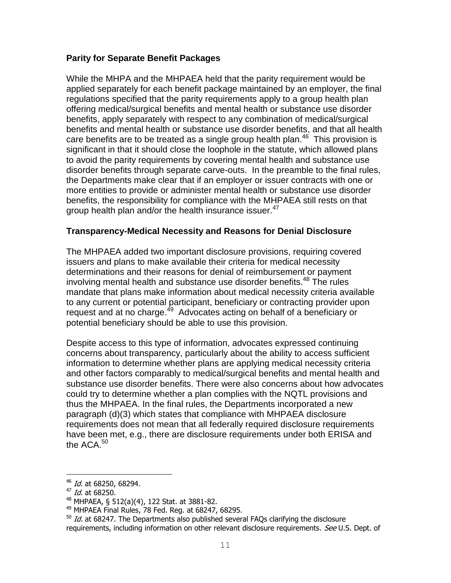#### **Parity for Separate Benefit Packages**

While the MHPA and the MHPAEA held that the parity requirement would be applied separately for each benefit package maintained by an employer, the final regulations specified that the parity requirements apply to a group health plan offering medical/surgical benefits and mental health or substance use disorder benefits, apply separately with respect to any combination of medical/surgical benefits and mental health or substance use disorder benefits, and that all health care benefits are to be treated as a single group health plan. $^{46}$  This provision is significant in that it should close the loophole in the statute, which allowed plans to avoid the parity requirements by covering mental health and substance use disorder benefits through separate carve-outs. In the preamble to the final rules, the Departments make clear that if an employer or issuer contracts with one or more entities to provide or administer mental health or substance use disorder benefits, the responsibility for compliance with the MHPAEA still rests on that group health plan and/or the health insurance issuer.<sup>47</sup>

#### **Transparency-Medical Necessity and Reasons for Denial Disclosure**

The MHPAEA added two important disclosure provisions, requiring covered issuers and plans to make available their criteria for medical necessity determinations and their reasons for denial of reimbursement or payment involving mental health and substance use disorder benefits.<sup>48</sup> The rules mandate that plans make information about medical necessity criteria available to any current or potential participant, beneficiary or contracting provider upon request and at no charge.<sup>49</sup> Advocates acting on behalf of a beneficiary or potential beneficiary should be able to use this provision.

Despite access to this type of information, advocates expressed continuing concerns about transparency, particularly about the ability to access sufficient information to determine whether plans are applying medical necessity criteria and other factors comparably to medical/surgical benefits and mental health and substance use disorder benefits. There were also concerns about how advocates could try to determine whether a plan complies with the NQTL provisions and thus the MHPAEA. In the final rules, the Departments incorporated a new paragraph (d)(3) which states that compliance with MHPAEA disclosure requirements does not mean that all federally required disclosure requirements have been met, e.g., there are disclosure requirements under both ERISA and the ACA. $50<sub>1</sub>$ 

<sup>&</sup>lt;sup>46</sup> Id. at 68250, 68294.

<sup>&</sup>lt;sup>47</sup> *Id.* at 68250.

<sup>48</sup> MHPAEA, § 512(a)(4), 122 Stat. at 3881-82.

<sup>49</sup> MHPAEA Final Rules, 78 Fed. Reg. at 68247, 68295.

 $50$  Id. at 68247. The Departments also published several FAQs clarifying the disclosure requirements, including information on other relevant disclosure requirements. See U.S. Dept. of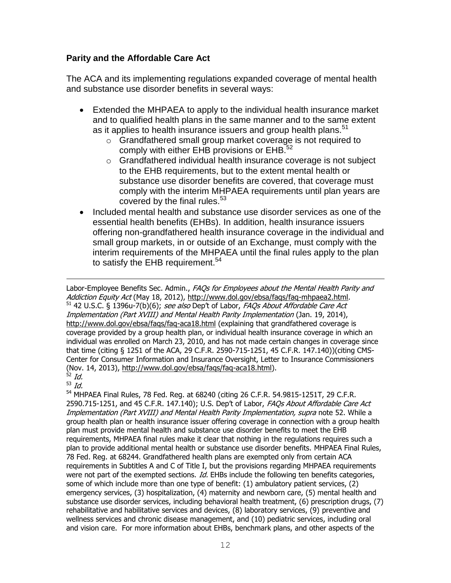## **Parity and the Affordable Care Act**

The ACA and its implementing regulations expanded coverage of mental health and substance use disorder benefits in several ways:

- Extended the MHPAEA to apply to the individual health insurance market and to qualified health plans in the same manner and to the same extent as it applies to health insurance issuers and group health plans.<sup>51</sup>
	- o Grandfathered small group market coverage is not required to comply with either EHB provisions or  $EHB<sup>52</sup>$
	- o Grandfathered individual health insurance coverage is not subject to the EHB requirements, but to the extent mental health or substance use disorder benefits are covered, that coverage must comply with the interim MHPAEA requirements until plan years are covered by the final rules. $53$
- Included mental health and substance use disorder services as one of the essential health benefits (EHBs). In addition, health insurance issuers offering non-grandfathered health insurance coverage in the individual and small group markets, in or outside of an Exchange, must comply with the interim requirements of the MHPAEA until the final rules apply to the plan to satisfy the EHB requirement.<sup>54</sup>

L,

Labor-Employee Benefits Sec. Admin., FAQs for Employees about the Mental Health Parity and Addiction Equity Act (May 18, 2012), [http://www.dol.gov/ebsa/faqs/faq-mhpaea2.html.](http://www.dol.gov/ebsa/faqs/faq-mhpaea2.html)  $51$  42 U.S.C. § 1396u-7(b)(6); see also Dep't of Labor, FAQs About Affordable Care Act Implementation (Part XVIII) and Mental Health Parity Implementation (Jan. 19, 2014), <http://www.dol.gov/ebsa/faqs/faq-aca18.html> (explaining that grandfathered coverage is coverage provided by a group health plan, or individual health insurance coverage in which an individual was enrolled on March 23, 2010, and has not made certain changes in coverage since that time (citing § 1251 of the ACA, 29 C.F.R. 2590-715-1251, 45 C.F.R. 147.140))(citing CMS-Center for Consumer Information and Insurance Oversight, Letter to Insurance Commissioners (Nov. 14, 2013), [http://www.dol.gov/ebsa/faqs/faq-aca18.html\)](http://www.dol.gov/ebsa/faqs/faq-aca18.html).

<sup>&</sup>lt;sup>52</sup> Id.  $\frac{1}{10}$ 

<sup>54</sup> MHPAEA Final Rules, 78 Fed. Reg. at 68240 (citing 26 C.F.R. 54.9815-1251T, 29 C.F.R. 2590.715-1251, and 45 C.F.R. 147.140); U.S. Dep't of Labor, FAOs About Affordable Care Act Implementation (Part XVIII) and Mental Health Parity Implementation, supra note 52. While a group health plan or health insurance issuer offering coverage in connection with a group health plan must provide mental health and substance use disorder benefits to meet the EHB requirements, MHPAEA final rules make it clear that nothing in the regulations requires such a plan to provide additional mental health or substance use disorder benefits. MHPAEA Final Rules, 78 Fed. Reg. at 68244. Grandfathered health plans are exempted only from certain ACA requirements in Subtitles A and C of Title I, but the provisions regarding MHPAEA requirements were not part of the exempted sections. Id. EHBs include the following ten benefits categories, some of which include more than one type of benefit: (1) ambulatory patient services, (2) emergency services, (3) hospitalization, (4) maternity and newborn care, (5) mental health and substance use disorder services, including behavioral health treatment, (6) prescription drugs, (7) rehabilitative and habilitative services and devices, (8) laboratory services, (9) preventive and wellness services and chronic disease management, and (10) pediatric services, including oral and vision care. For more information about EHBs, benchmark plans, and other aspects of the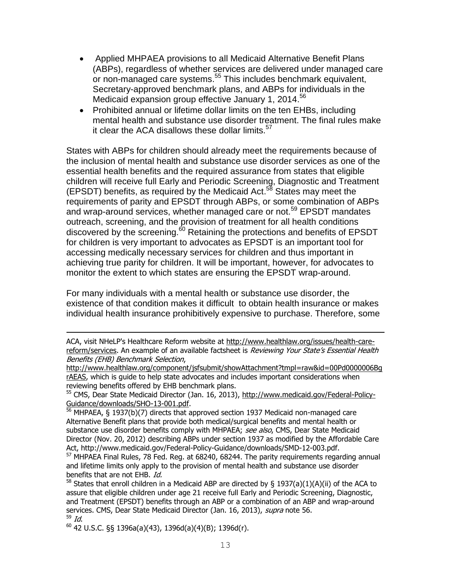- Applied MHPAEA provisions to all Medicaid Alternative Benefit Plans (ABPs), regardless of whether services are delivered under managed care or non-managed care systems. <sup>55</sup> This includes benchmark equivalent, Secretary-approved benchmark plans, and ABPs for individuals in the Medicaid expansion group effective January 1, 2014.<sup>56</sup>
- Prohibited annual or lifetime dollar limits on the ten EHBs, including mental health and substance use disorder treatment. The final rules make it clear the ACA disallows these dollar limits. $57$

States with ABPs for children should already meet the requirements because of the inclusion of mental health and substance use disorder services as one of the essential health benefits and the required assurance from states that eligible children will receive full Early and Periodic Screening, Diagnostic and Treatment (EPSDT) benefits, as required by the Medicaid Act.<sup>58</sup> States may meet the requirements of parity and EPSDT through ABPs, or some combination of ABPs and wrap-around services, whether managed care or not.<sup>59</sup> EPSDT mandates outreach, screening, and the provision of treatment for all health conditions discovered by the screening.<sup>60</sup> Retaining the protections and benefits of EPSDT for children is very important to advocates as EPSDT is an important tool for accessing medically necessary services for children and thus important in achieving true parity for children. It will be important, however, for advocates to monitor the extent to which states are ensuring the EPSDT wrap-around.

For many individuals with a mental health or substance use disorder, the existence of that condition makes it difficult to obtain health insurance or makes individual health insurance prohibitively expensive to purchase. Therefore, some

ACA, visit NHeLP's Healthcare Reform website at [http://www.healthlaw.org/issues/health-care](http://www.healthlaw.org/issues/health-care-reform/services)[reform/services.](http://www.healthlaw.org/issues/health-care-reform/services) An example of an available factsheet is Reviewing Your State's Essential Health Benefits (EHB) Benchmark Selection,

[http://www.healthlaw.org/component/jsfsubmit/showAttachment?tmpl=raw&id=00Pd0000006Bg](http://www.healthlaw.org/component/jsfsubmit/showAttachment?tmpl=raw&id=00Pd0000006BgrAEAS) [rAEAS,](http://www.healthlaw.org/component/jsfsubmit/showAttachment?tmpl=raw&id=00Pd0000006BgrAEAS) which is guide to help state advocates and includes important considerations when reviewing benefits offered by EHB benchmark plans.

<sup>55</sup> CMS, Dear State Medicaid Director (Jan. 16, 2013), [http://www.medicaid.gov/Federal-Policy-](http://www.medicaid.gov/Federal-Policy-Guidance/downloads/SHO-13-001.pdf)[Guidance/downloads/SHO-13-001.pdf.](http://www.medicaid.gov/Federal-Policy-Guidance/downloads/SHO-13-001.pdf)

 $56$  MHPAEA, § 1937(b)(7) directs that approved section 1937 Medicaid non-managed care Alternative Benefit plans that provide both medical/surgical benefits and mental health or substance use disorder benefits comply with MHPAEA; see also, CMS, Dear State Medicaid Director (Nov. 20, 2012) describing ABPs under section 1937 as modified by the Affordable Care Act, http://www.medicaid.gov/Federal-Policy-Guidance/downloads/SMD-12-003.pdf.

<sup>&</sup>lt;sup>57</sup> MHPAEA Final Rules, 78 Fed. Reg. at 68240, 68244. The parity requirements regarding annual and lifetime limits only apply to the provision of mental health and substance use disorder benefits that are not EHB. Id.

<sup>&</sup>lt;sup>58</sup> States that enroll children in a Medicaid ABP are directed by § 1937(a)(1)(A)(ii) of the ACA to assure that eligible children under age 21 receive full Early and Periodic Screening, Diagnostic, and Treatment (EPSDT) benefits through an ABP or a combination of an ABP and wrap-around services. CMS, Dear State Medicaid Director (Jan. 16, 2013), supra note 56. <sup>59</sup> Id.

 $60$  42 U.S.C. §§ 1396a(a)(43), 1396d(a)(4)(B); 1396d(r).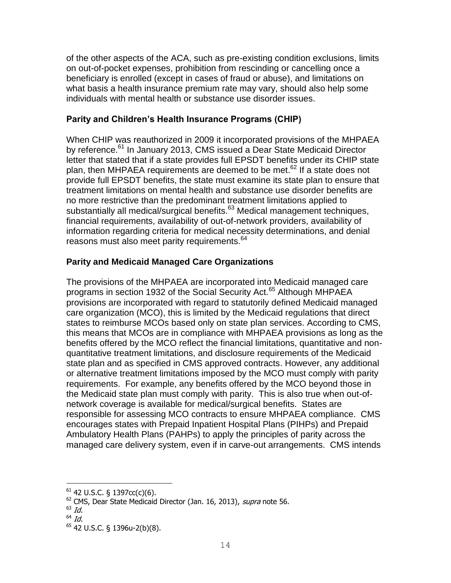of the other aspects of the ACA, such as pre-existing condition exclusions, limits on out-of-pocket expenses, prohibition from rescinding or cancelling once a beneficiary is enrolled (except in cases of fraud or abuse), and limitations on what basis a health insurance premium rate may vary, should also help some individuals with mental health or substance use disorder issues.

## **Parity and Children's Health Insurance Programs (CHIP)**

When CHIP was reauthorized in 2009 it incorporated provisions of the MHPAEA by reference.<sup>61</sup> In January 2013, CMS issued a Dear State Medicaid Director letter that stated that if a state provides full EPSDT benefits under its CHIP state plan, then MHPAEA requirements are deemed to be met.<sup>62</sup> If a state does not provide full EPSDT benefits, the state must examine its state plan to ensure that treatment limitations on mental health and substance use disorder benefits are no more restrictive than the predominant treatment limitations applied to substantially all medical/surgical benefits.<sup>63</sup> Medical management techniques, financial requirements, availability of out-of-network providers, availability of information regarding criteria for medical necessity determinations, and denial reasons must also meet parity requirements.<sup>64</sup>

## **Parity and Medicaid Managed Care Organizations**

The provisions of the MHPAEA are incorporated into Medicaid managed care programs in section 1932 of the Social Security Act.<sup>65</sup> Although MHPAEA provisions are incorporated with regard to statutorily defined Medicaid managed care organization (MCO), this is limited by the Medicaid regulations that direct states to reimburse MCOs based only on state plan services. According to CMS, this means that MCOs are in compliance with MHPAEA provisions as long as the benefits offered by the MCO reflect the financial limitations, quantitative and nonquantitative treatment limitations, and disclosure requirements of the Medicaid state plan and as specified in CMS approved contracts. However, any additional or alternative treatment limitations imposed by the MCO must comply with parity requirements. For example, any benefits offered by the MCO beyond those in the Medicaid state plan must comply with parity. This is also true when out-ofnetwork coverage is available for medical/surgical benefits. States are responsible for assessing MCO contracts to ensure MHPAEA compliance. CMS encourages states with Prepaid Inpatient Hospital Plans (PIHPs) and Prepaid Ambulatory Health Plans (PAHPs) to apply the principles of parity across the managed care delivery system, even if in carve-out arrangements. CMS intends

 $61$  42 U.S.C. § 1397cc(c)(6).

<sup>&</sup>lt;sup>62</sup> CMS, Dear State Medicaid Director (Jan. 16, 2013), *supra* note 56.

 $63$  Id.

<sup>64</sup> Id.

<sup>65</sup> 42 U.S.C. § 1396u-2(b)(8).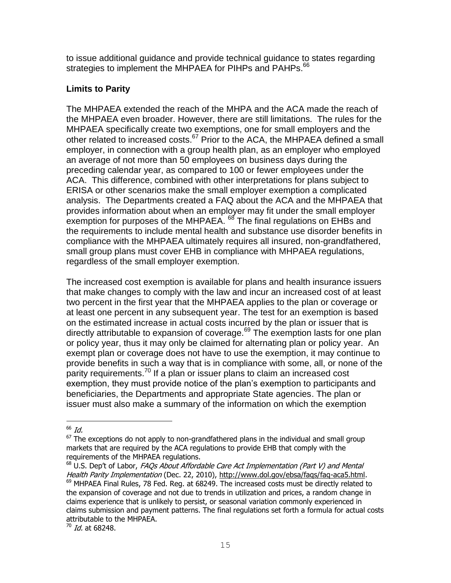to issue additional guidance and provide technical guidance to states regarding strategies to implement the MHPAEA for PIHPs and PAHPs.<sup>66</sup>

## **Limits to Parity**

The MHPAEA extended the reach of the MHPA and the ACA made the reach of the MHPAEA even broader. However, there are still limitations. The rules for the MHPAEA specifically create two exemptions, one for small employers and the other related to increased costs.<sup>67</sup> Prior to the ACA, the MHPAEA defined a small employer, in connection with a group health plan, as an employer who employed an average of not more than 50 employees on business days during the preceding calendar year, as compared to 100 or fewer employees under the ACA. This difference, combined with other interpretations for plans subject to ERISA or other scenarios make the small employer exemption a complicated analysis. The Departments created a FAQ about the ACA and the MHPAEA that provides information about when an employer may fit under the small employer exemption for purposes of the MHPAEA. <sup>68</sup> The final regulations on EHBs and the requirements to include mental health and substance use disorder benefits in compliance with the MHPAEA ultimately requires all insured, non-grandfathered, small group plans must cover EHB in compliance with MHPAEA regulations, regardless of the small employer exemption.

The increased cost exemption is available for plans and health insurance issuers that make changes to comply with the law and incur an increased cost of at least two percent in the first year that the MHPAEA applies to the plan or coverage or at least one percent in any subsequent year. The test for an exemption is based on the estimated increase in actual costs incurred by the plan or issuer that is directly attributable to expansion of coverage. $69$  The exemption lasts for one plan or policy year, thus it may only be claimed for alternating plan or policy year. An exempt plan or coverage does not have to use the exemption, it may continue to provide benefits in such a way that is in compliance with some, all, or none of the parity requirements.<sup>70</sup> If a plan or issuer plans to claim an increased cost exemption, they must provide notice of the plan's exemption to participants and beneficiaries, the Departments and appropriate State agencies. The plan or issuer must also make a summary of the information on which the exemption

 $66$  *Id.* 

 $67$  The exceptions do not apply to non-grandfathered plans in the individual and small group markets that are required by the ACA regulations to provide EHB that comply with the requirements of the MHPAEA regulations.

 $68$  U.S. Dep't of Labor, FAQs About Affordable Care Act Implementation (Part V) and Mental Health Parity Implementation (Dec. 22, 2010), [http://www.dol.gov/ebsa/faqs/faq-aca5.html.](http://www.dol.gov/ebsa/faqs/faq-aca5.html)  $69$  MHPAEA Final Rules, 78 Fed. Req. at 68249. The increased costs must be directly related to the expansion of coverage and not due to trends in utilization and prices, a random change in claims experience that is unlikely to persist, or seasonal variation commonly experienced in claims submission and payment patterns. The final regulations set forth a formula for actual costs attributable to the MHPAEA.

 $^{70}$  Id. at 68248.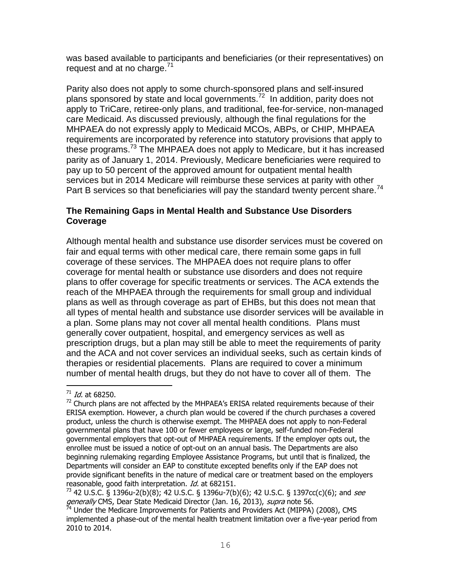was based available to participants and beneficiaries (or their representatives) on request and at no charge. $71$ 

Parity also does not apply to some church-sponsored plans and self-insured plans sponsored by state and local governments.<sup>72</sup> In addition, parity does not apply to TriCare, retiree-only plans, and traditional, fee-for-service, non-managed care Medicaid. As discussed previously, although the final regulations for the MHPAEA do not expressly apply to Medicaid MCOs, ABPs, or CHIP, MHPAEA requirements are incorporated by reference into statutory provisions that apply to these programs.<sup>73</sup> The MHPAEA does not apply to Medicare, but it has increased parity as of January 1, 2014. Previously, Medicare beneficiaries were required to pay up to 50 percent of the approved amount for outpatient mental health services but in 2014 Medicare will reimburse these services at parity with other Part B services so that beneficiaries will pay the standard twenty percent share.<sup>74</sup>

### **The Remaining Gaps in Mental Health and Substance Use Disorders Coverage**

Although mental health and substance use disorder services must be covered on fair and equal terms with other medical care, there remain some gaps in full coverage of these services. The MHPAEA does not require plans to offer coverage for mental health or substance use disorders and does not require plans to offer coverage for specific treatments or services. The ACA extends the reach of the MHPAEA through the requirements for small group and individual plans as well as through coverage as part of EHBs, but this does not mean that all types of mental health and substance use disorder services will be available in a plan. Some plans may not cover all mental health conditions. Plans must generally cover outpatient, hospital, and emergency services as well as prescription drugs, but a plan may still be able to meet the requirements of parity and the ACA and not cover services an individual seeks, such as certain kinds of therapies or residential placements. Plans are required to cover a minimum number of mental health drugs, but they do not have to cover all of them. The

i<br>L

 $71$  Id. at 68250.

 $72$  Church plans are not affected by the MHPAEA's ERISA related requirements because of their ERISA exemption. However, a church plan would be covered if the church purchases a covered product, unless the church is otherwise exempt. The MHPAEA does not apply to non-Federal governmental plans that have 100 or fewer employees or large, self-funded non-Federal governmental employers that opt-out of MHPAEA requirements. If the employer opts out, the enrollee must be issued a notice of opt-out on an annual basis. The Departments are also beginning rulemaking regarding Employee Assistance Programs, but until that is finalized, the Departments will consider an EAP to constitute excepted benefits only if the EAP does not provide significant benefits in the nature of medical care or treatment based on the employers reasonable, good faith interpretation. *Id.* at 682151.

<sup>&</sup>lt;sup>73</sup> 42 U.S.C. § 1396u-2(b)(8); 42 U.S.C. § 1396u-7(b)(6); 42 U.S.C. § 1397cc(c)(6); and see generally CMS, Dear State Medicaid Director (Jan. 16, 2013), supra note 56.

 $^{74}$  Under the Medicare Improvements for Patients and Providers Act (MIPPA) (2008), CMS implemented a phase-out of the mental health treatment limitation over a five-year period from 2010 to 2014.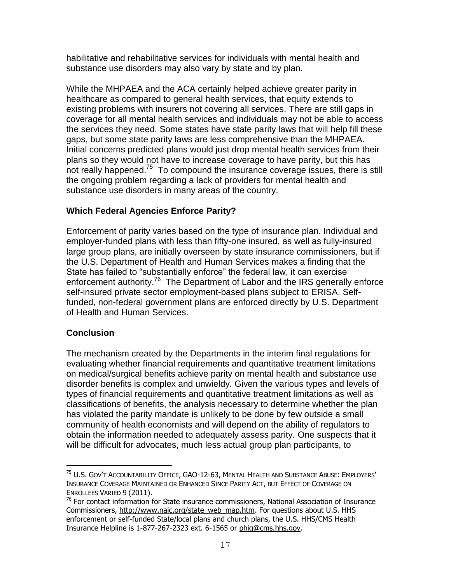habilitative and rehabilitative services for individuals with mental health and substance use disorders may also vary by state and by plan.

While the MHPAEA and the ACA certainly helped achieve greater parity in healthcare as compared to general health services, that equity extends to existing problems with insurers not covering all services. There are still gaps in coverage for all mental health services and individuals may not be able to access the services they need. Some states have state parity laws that will help fill these gaps, but some state parity laws are less comprehensive than the MHPAEA. Initial concerns predicted plans would just drop mental health services from their plans so they would not have to increase coverage to have parity, but this has not really happened.<sup>75</sup> To compound the insurance coverage issues, there is still the ongoing problem regarding a lack of providers for mental health and substance use disorders in many areas of the country.

## **Which Federal Agencies Enforce Parity?**

Enforcement of parity varies based on the type of insurance plan. Individual and employer-funded plans with less than fifty-one insured, as well as fully-insured large group plans, are initially overseen by state insurance commissioners, but if the U.S. Department of Health and Human Services makes a finding that the State has failed to "substantially enforce" the federal law, it can exercise enforcement authority.<sup>76</sup> The Department of Labor and the IRS generally enforce self-insured private sector employment-based plans subject to ERISA. Selffunded, non-federal government plans are enforced directly by U.S. Department of Health and Human Services.

## **Conclusion**

i<br>L

The mechanism created by the Departments in the interim final regulations for evaluating whether financial requirements and quantitative treatment limitations on medical/surgical benefits achieve parity on mental health and substance use disorder benefits is complex and unwieldy. Given the various types and levels of types of financial requirements and quantitative treatment limitations as well as classifications of benefits, the analysis necessary to determine whether the plan has violated the parity mandate is unlikely to be done by few outside a small community of health economists and will depend on the ability of regulators to obtain the information needed to adequately assess parity. One suspects that it will be difficult for advocates, much less actual group plan participants, to

<sup>75</sup> U.S. GOV'T ACCOUNTABILITY OFFICE, GAO-12-63, MENTAL HEALTH AND SUBSTANCE ABUSE: EMPLOYERS' INSURANCE COVERAGE MAINTAINED OR ENHANCED SINCE PARITY ACT, BUT EFFECT OF COVERAGE ON ENROLLEES VARIED 9 (2011).

<sup>&</sup>lt;sup>76</sup> For contact information for State insurance commissioners, National Association of Insurance Commissioners, [http://www.naic.org/state\\_web\\_map.htm.](http://www.naic.org/state_web_map.htm) For questions about U.S. HHS enforcement or self-funded State/local plans and church plans, the U.S. HHS/CMS Health Insurance Helpline is 1-877-267-2323 ext. 6-1565 or [phig@cms.hhs.gov.](mailto:phig@cms.hhs.gov)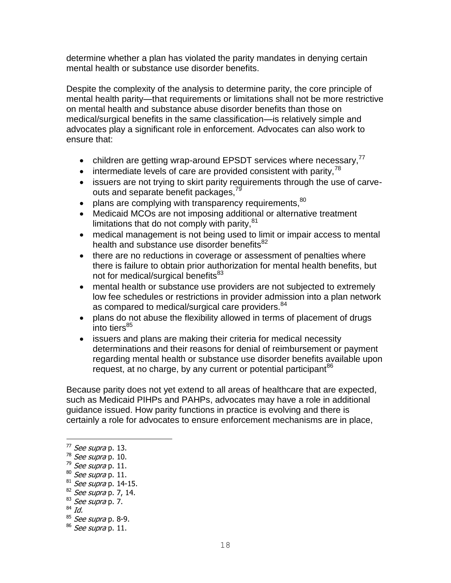determine whether a plan has violated the parity mandates in denying certain mental health or substance use disorder benefits.

Despite the complexity of the analysis to determine parity, the core principle of mental health parity—that requirements or limitations shall not be more restrictive on mental health and substance abuse disorder benefits than those on medical/surgical benefits in the same classification—is relatively simple and advocates play a significant role in enforcement. Advocates can also work to ensure that:

- children are getting wrap-around EPSDT services where necessary.<sup>77</sup>
- $\bullet$  intermediate levels of care are provided consistent with parity,  $78$
- issuers are not trying to skirt parity requirements through the use of carveouts and separate benefit packages,<sup>79</sup>
- $\bullet$  plans are complying with transparency requirements,  $80$
- Medicaid MCOs are not imposing additional or alternative treatment limitations that do not comply with parity,  $81$
- medical management is not being used to limit or impair access to mental health and substance use disorder benefits<sup>82</sup>
- there are no reductions in coverage or assessment of penalties where there is failure to obtain prior authorization for mental health benefits, but not for medical/surgical benefits<sup>83</sup>
- mental health or substance use providers are not subjected to extremely low fee schedules or restrictions in provider admission into a plan network as compared to medical/surgical care providers.<sup>84</sup>
- plans do not abuse the flexibility allowed in terms of placement of drugs into tiers<sup>85</sup>
- issuers and plans are making their criteria for medical necessity determinations and their reasons for denial of reimbursement or payment regarding mental health or substance use disorder benefits available upon request, at no charge, by any current or potential participant<sup>86</sup>

Because parity does not yet extend to all areas of healthcare that are expected, such as Medicaid PIHPs and PAHPs, advocates may have a role in additional guidance issued. How parity functions in practice is evolving and there is certainly a role for advocates to ensure enforcement mechanisms are in place,

i<br>L

<sup>&</sup>lt;sup>77</sup> *See supra* p. 13.

 $78$  See supra p. 10.

 $79$  See supra p. 11.

 $80$  See supra p. 11.

 $81$  See supra p. 14-15.

 $82$  See supra p. 7, 14.

 $83$  See supra p. 7.

 $84$  Id.

 $85$  See supra p. 8-9.

 $86$  See supra p. 11.